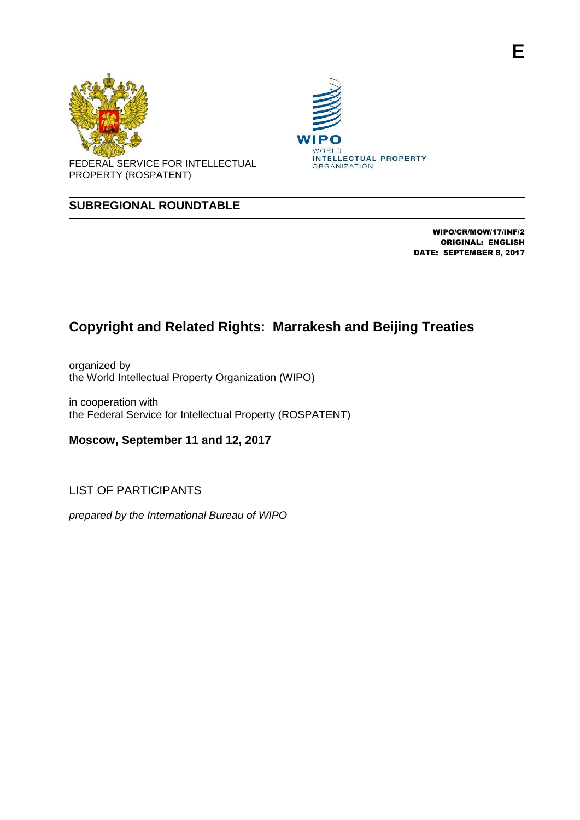





FEDERAL SERVICE FOR INTELLECTUAL PROPERTY (ROSPATENT)

# **SUBREGIONAL ROUNDTABLE**

WIPO/CR/MOW/17/INF/2 ORIGINAL: ENGLISH DATE: SEPTEMBER 8, 2017

# **Copyright and Related Rights: Marrakesh and Beijing Treaties**

organized by the World Intellectual Property Organization (WIPO)

in cooperation with the Federal Service for Intellectual Property (ROSPATENT)

**Moscow, September 11 and 12, 2017**

LIST OF PARTICIPANTS

*prepared by the International Bureau of WIPO*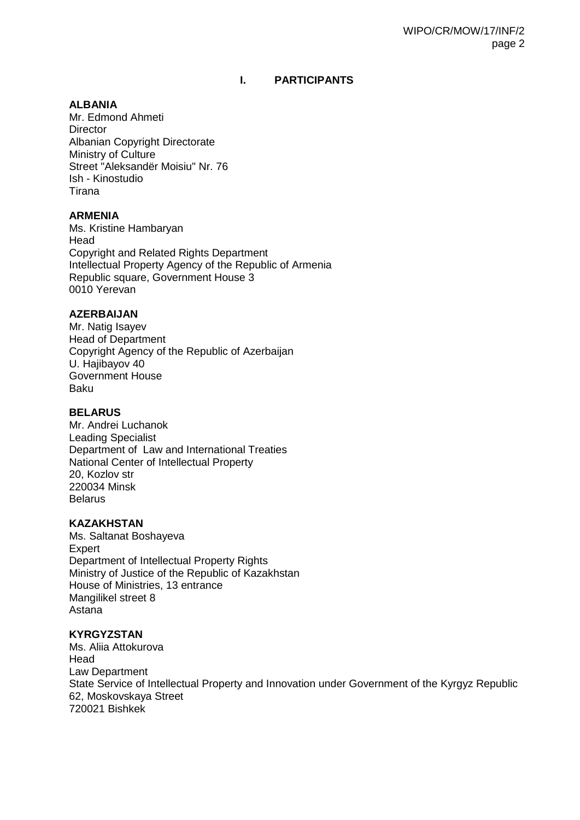# **I. PARTICIPANTS**

# **ALBANIA**

Mr. Edmond Ahmeti **Director** Albanian Copyright Directorate Ministry of Culture Street "Aleksandër Moisiu" Nr. 76 Ish - Kinostudio Tirana

# **ARMENIA**

Ms. Kristine Hambaryan Head Copyright and Related Rights Department Intellectual Property Agency of the Republic of Armenia Republic square, Government House 3 0010 Yerevan

# **AZERBAIJAN**

Mr. Natig Isayev Head of Department Copyright Agency of the Republic of Azerbaijan U. Hajibayov 40 Government House Baku

# **BELARUS**

Mr. Andrei Luchanok Leading Specialist Department of Law and International Treaties National Center of Intellectual Property 20, Kozlov str 220034 Minsk **Belarus** 

# **KAZAKHSTAN**

Ms. Saltanat Boshayeva Expert Department of Intellectual Property Rights Ministry of Justice of the Republic of Kazakhstan House of Ministries, 13 entrance Mangilikel street 8 Astana

# **KYRGYZSTAN**

Ms. Aliia Attokurova **Head** Law Department State Service of Intellectual Property and Innovation under Government of the Kyrgyz Republic 62, Moskovskaya Street 720021 Bishkek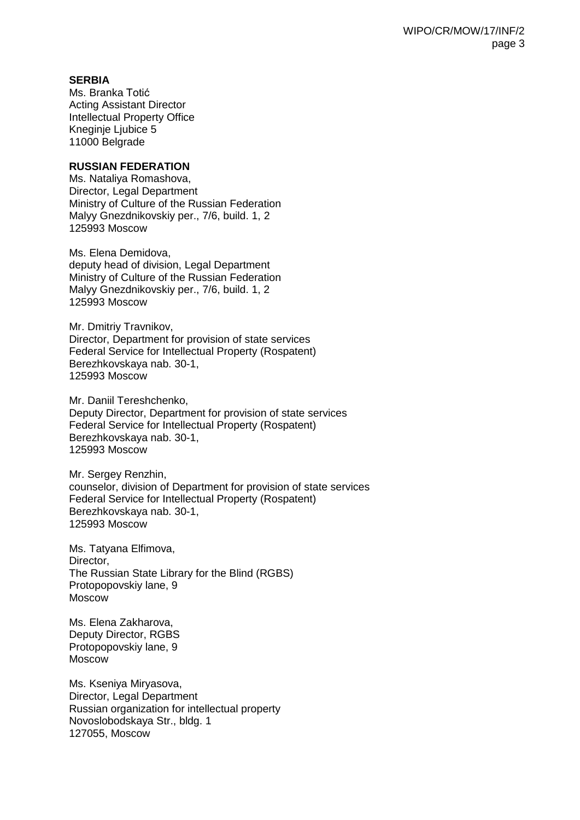# **SERBIA**

Ms. Branka Totić Acting Assistant Director Intellectual Property Office Kneginje Ljubice 5 11000 Belgrade

#### **RUSSIAN FEDERATION**

Ms. Nataliya Romashova, Director, Legal Department Ministry of Culture of the Russian Federation Malyy Gnezdnikovskiy per., 7/6, build. 1, 2 125993 Moscow

Ms. Elena Demidova, deputy head of division, Legal Department Ministry of Culture of the Russian Federation Malyy Gnezdnikovskiy per., 7/6, build. 1, 2 125993 Moscow

Mr. Dmitriy Travnikov, Director, Department for provision of state services Federal Service for Intellectual Property (Rospatent) Berezhkovskaya nab. 30-1, 125993 Moscow

Mr. Daniil Tereshchenko, Deputy Director, Department for provision of state services Federal Service for Intellectual Property (Rospatent) Berezhkovskaya nab. 30-1, 125993 Moscow

Mr. Sergey Renzhin, counselor, division of Department for provision of state services Federal Service for Intellectual Property (Rospatent) Berezhkovskaya nab. 30-1, 125993 Moscow

Ms. Tatyana Elfimova, Director, The Russian State Library for the Blind (RGBS) Protopopovskiy lane, 9 Moscow

Ms. Elena Zakharova, Deputy Director, RGBS Protopopovskiy lane, 9 Moscow

Ms. Kseniya Miryasova, Director, Legal Department Russian organization for intellectual property Novoslobodskaya Str., bldg. 1 127055, Moscow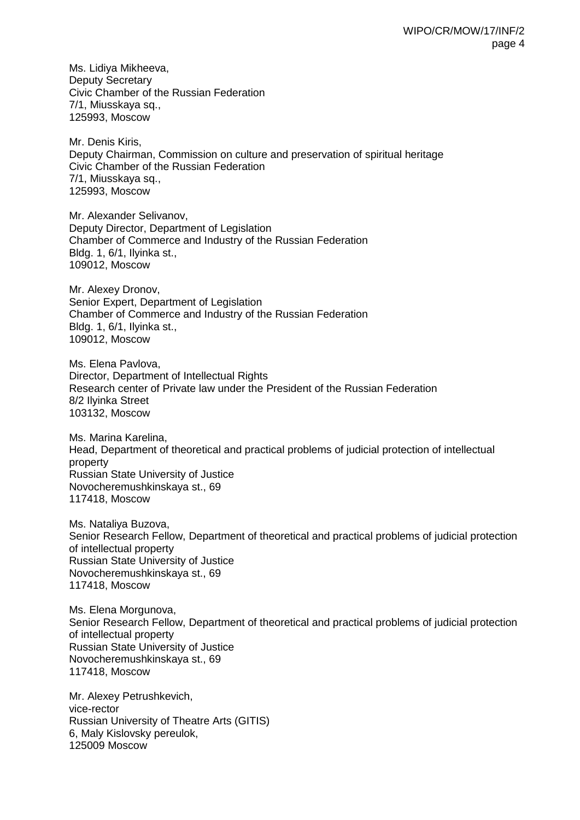Ms. Lidiya Mikheeva, Deputy Secretary Civic Chamber of the Russian Federation 7/1, Miusskaya sq., 125993, Moscow

Mr. Denis Kiris, Deputy Chairman, Commission on culture and preservation of spiritual heritage Civic Chamber of the Russian Federation 7/1, Miusskaya sq., 125993, Moscow

Mr. Alexander Selivanov, Deputy Director, Department of Legislation Chamber of Commerce and Industry of the Russian Federation Bldg. 1, 6/1, Ilyinka st., 109012, Moscow

Mr. Alexey Dronov, Senior Expert, Department of Legislation Chamber of Commerce and Industry of the Russian Federation Bldg. 1, 6/1, Ilyinka st., 109012, Moscow

Ms. Elena Pavlova, Director, Department of Intellectual Rights Research center of Private law under the President of the Russian Federation 8/2 Ilyinka Street 103132, Moscow

Ms. Marina Karelina, Head, Department of theoretical and practical problems of judicial protection of intellectual property Russian State University of Justice Novocheremushkinskaya st., 69 117418, Moscow

Ms. Nataliya Buzova, Senior Research Fellow, Department of theoretical and practical problems of judicial protection of intellectual property Russian State University of Justice Novocheremushkinskaya st., 69 117418, Moscow

Ms. Elena Morgunova, Senior Research Fellow, Department of theoretical and practical problems of judicial protection of intellectual property Russian State University of Justice Novocheremushkinskaya st., 69 117418, Moscow

Mr. Alexey Petrushkevich, vice-rector Russian University of Theatre Arts (GITIS) 6, Maly Kislovsky pereulok, 125009 Moscow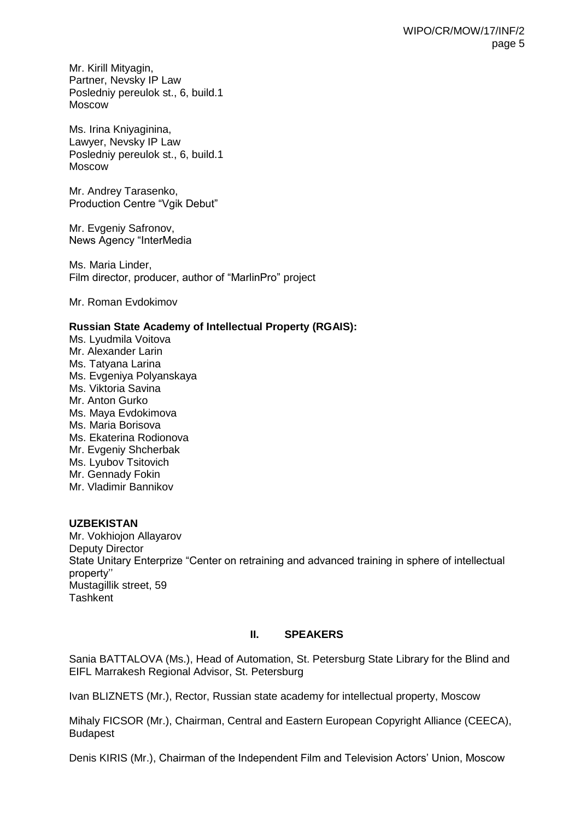Mr. Kirill Mityagin, Partner, Nevsky IP Law Posledniy pereulok st., 6, build.1 Moscow

Ms. Irina Kniyaginina, Lawyer, Nevsky IP Law Posledniy pereulok st., 6, build.1 Moscow

Mr. Andrey Tarasenko, Production Centre "Vgik Debut"

Mr. Evgeniy Safronov, News Agency "InterMedia

Ms. Maria Linder, Film director, producer, author of "MarlinPro" project

Mr. Roman Evdokimov

# **Russian State Academy of Intellectual Property (RGAIS):**

Ms. Lyudmila Voitova Mr. Alexander Larin Ms. Tatyana Larina Ms. Evgeniya Polyanskaya Ms. Viktoria Savina Mr. Anton Gurko Ms. Maya Evdokimova Ms. Maria Borisova Ms. Ekaterina Rodionova Mr. Evgeniy Shcherbak Ms. Lyubov Tsitovich Mr. Gennady Fokin Mr. Vladimir Bannikov

# **UZBEKISTAN**

Mr. Vokhiojon Allayarov Deputy Director State Unitary Enterprize "Center on retraining and advanced training in sphere of intellectual property'' Mustagillik street, 59 **Tashkent** 

# **II. SPEAKERS**

Sania BATTALOVA (Ms.), Head of Automation, St. Petersburg State Library for the Blind and EIFL Marrakesh Regional Advisor, St. Petersburg

Ivan BLIZNETS (Mr.), Rector, Russian state academy for intellectual property, Moscow

Mihaly FICSOR (Mr.), Chairman, Central and Eastern European Copyright Alliance (CEECA), **Budapest** 

Denis KIRIS (Mr.), Chairman of the Independent Film and Television Actors' Union, Moscow